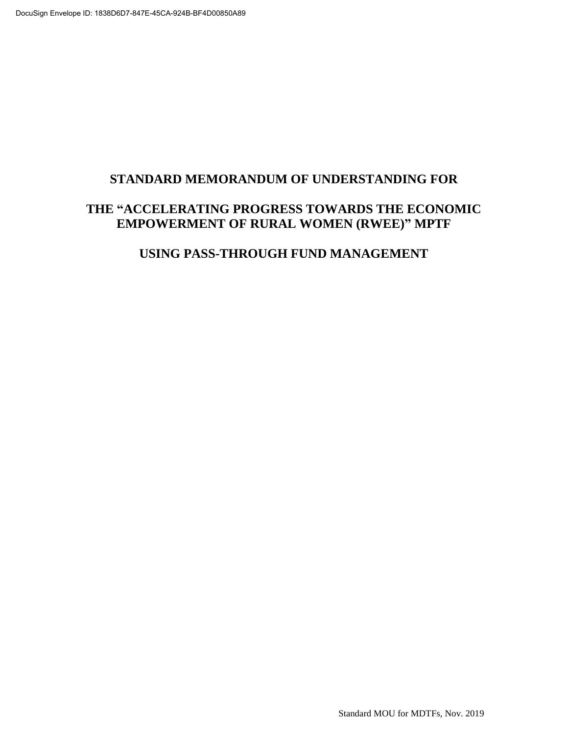# **STANDARD MEMORANDUM OF UNDERSTANDING FOR**

# **THE "ACCELERATING PROGRESS TOWARDS THE ECONOMIC EMPOWERMENT OF RURAL WOMEN (RWEE)" MPTF**

# **USING PASS-THROUGH FUND MANAGEMENT**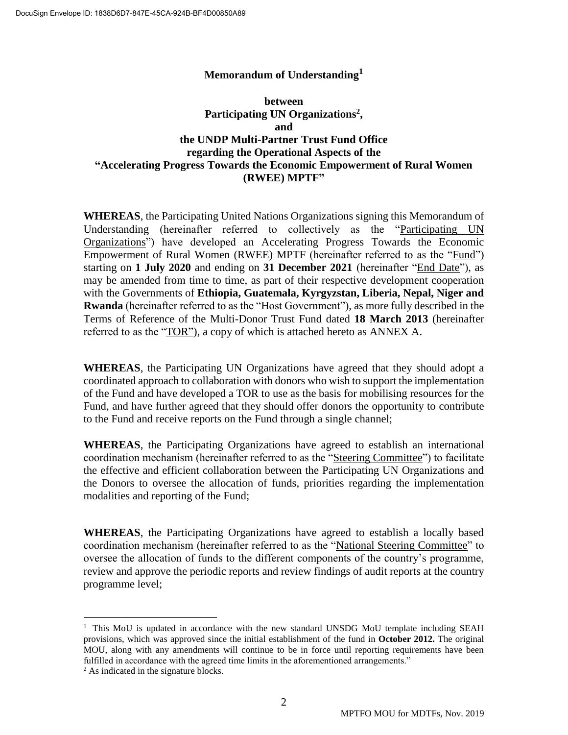#### **Memorandum of Understanding<sup>1</sup>**

### **between Participating UN Organizations 2 , and the UNDP Multi-Partner Trust Fund Office regarding the Operational Aspects of the "Accelerating Progress Towards the Economic Empowerment of Rural Women (RWEE) MPTF"**

**WHEREAS**, the Participating United Nations Organizations signing this Memorandum of Understanding (hereinafter referred to collectively as the "Participating UN Organizations") have developed an Accelerating Progress Towards the Economic Empowerment of Rural Women (RWEE) MPTF (hereinafter referred to as the "Fund") starting on **1 July 2020** and ending on **31 December 2021** (hereinafter "End Date"), as may be amended from time to time, as part of their respective development cooperation with the Governments of **Ethiopia, Guatemala, Kyrgyzstan, Liberia, Nepal, Niger and Rwanda** (hereinafter referred to as the "Host Government"), as more fully described in the Terms of Reference of the Multi-Donor Trust Fund dated **18 March 2013** (hereinafter referred to as the "TOR"), a copy of which is attached hereto as ANNEX A.

**WHEREAS**, the Participating UN Organizations have agreed that they should adopt a coordinated approach to collaboration with donors who wish to support the implementation of the Fund and have developed a TOR to use as the basis for mobilising resources for the Fund, and have further agreed that they should offer donors the opportunity to contribute to the Fund and receive reports on the Fund through a single channel;

**WHEREAS**, the Participating Organizations have agreed to establish an international coordination mechanism (hereinafter referred to as the "Steering Committee") to facilitate the effective and efficient collaboration between the Participating UN Organizations and the Donors to oversee the allocation of funds, priorities regarding the implementation modalities and reporting of the Fund;

**WHEREAS**, the Participating Organizations have agreed to establish a locally based coordination mechanism (hereinafter referred to as the "National Steering Committee" to oversee the allocation of funds to the different components of the country's programme, review and approve the periodic reports and review findings of audit reports at the country programme level;

 $\overline{a}$ 

<sup>&</sup>lt;sup>1</sup> This MoU is updated in accordance with the new standard UNSDG MoU template including SEAH provisions, which was approved since the initial establishment of the fund in **October 2012.** The original MOU, along with any amendments will continue to be in force until reporting requirements have been fulfilled in accordance with the agreed time limits in the aforementioned arrangements."

<sup>&</sup>lt;sup>2</sup> As indicated in the signature blocks.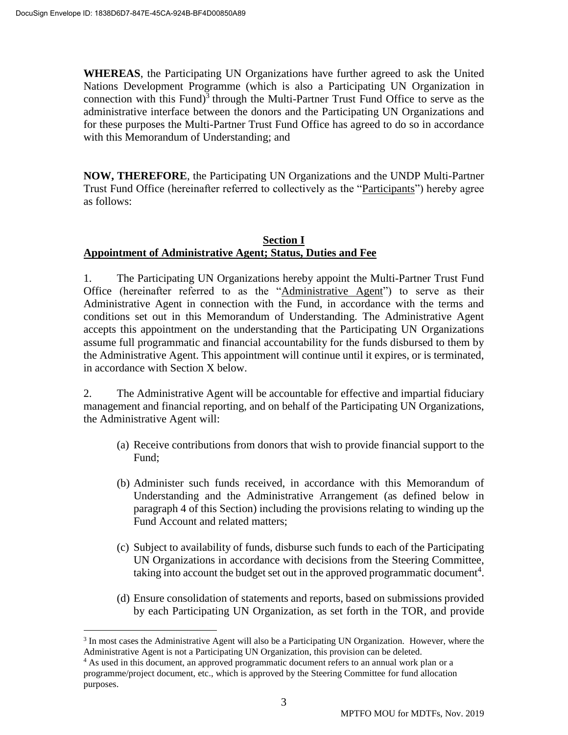**WHEREAS**, the Participating UN Organizations have further agreed to ask the United Nations Development Programme (which is also a Participating UN Organization in connection with this Fund) 3 through the Multi-Partner Trust Fund Office to serve as the administrative interface between the donors and the Participating UN Organizations and for these purposes the Multi-Partner Trust Fund Office has agreed to do so in accordance with this Memorandum of Understanding; and

**NOW, THEREFORE**, the Participating UN Organizations and the UNDP Multi-Partner Trust Fund Office (hereinafter referred to collectively as the "Participants") hereby agree as follows:

### **Section I Appointment of Administrative Agent; Status, Duties and Fee**

1. The Participating UN Organizations hereby appoint the Multi-Partner Trust Fund Office (hereinafter referred to as the "Administrative Agent") to serve as their Administrative Agent in connection with the Fund, in accordance with the terms and conditions set out in this Memorandum of Understanding. The Administrative Agent accepts this appointment on the understanding that the Participating UN Organizations assume full programmatic and financial accountability for the funds disbursed to them by the Administrative Agent. This appointment will continue until it expires, or is terminated, in accordance with Section X below.

2. The Administrative Agent will be accountable for effective and impartial fiduciary management and financial reporting, and on behalf of the Participating UN Organizations, the Administrative Agent will:

- (a) Receive contributions from donors that wish to provide financial support to the Fund;
- (b) Administer such funds received, in accordance with this Memorandum of Understanding and the Administrative Arrangement (as defined below in paragraph 4 of this Section) including the provisions relating to winding up the Fund Account and related matters;
- (c) Subject to availability of funds, disburse such funds to each of the Participating UN Organizations in accordance with decisions from the Steering Committee, taking into account the budget set out in the approved programmatic document<sup>4</sup>.
- (d) Ensure consolidation of statements and reports, based on submissions provided by each Participating UN Organization, as set forth in the TOR, and provide

 $\overline{a}$ <sup>3</sup> In most cases the Administrative Agent will also be a Participating UN Organization. However, where the Administrative Agent is not a Participating UN Organization, this provision can be deleted.

<sup>&</sup>lt;sup>4</sup> As used in this document, an approved programmatic document refers to an annual work plan or a programme/project document, etc., which is approved by the Steering Committee for fund allocation purposes.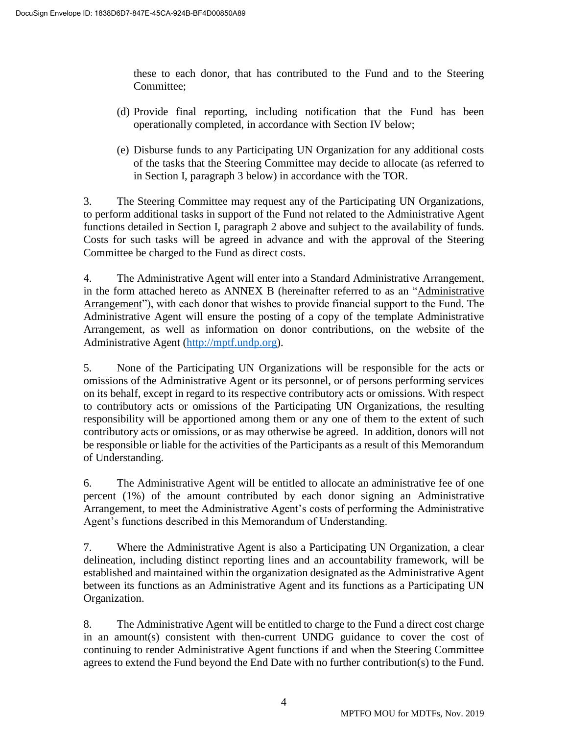these to each donor, that has contributed to the Fund and to the Steering Committee;

- (d) Provide final reporting, including notification that the Fund has been operationally completed, in accordance with Section IV below;
- (e) Disburse funds to any Participating UN Organization for any additional costs of the tasks that the Steering Committee may decide to allocate (as referred to in Section I, paragraph 3 below) in accordance with the TOR.

3. The Steering Committee may request any of the Participating UN Organizations, to perform additional tasks in support of the Fund not related to the Administrative Agent functions detailed in Section I, paragraph 2 above and subject to the availability of funds. Costs for such tasks will be agreed in advance and with the approval of the Steering Committee be charged to the Fund as direct costs.

4. The Administrative Agent will enter into a Standard Administrative Arrangement, in the form attached hereto as ANNEX B (hereinafter referred to as an "Administrative Arrangement"), with each donor that wishes to provide financial support to the Fund. The Administrative Agent will ensure the posting of a copy of the template Administrative Arrangement, as well as information on donor contributions, on the website of the Administrative Agent [\(http://mptf.undp.org\)](http://mptf.undp.org/).

5. None of the Participating UN Organizations will be responsible for the acts or omissions of the Administrative Agent or its personnel, or of persons performing services on its behalf, except in regard to its respective contributory acts or omissions. With respect to contributory acts or omissions of the Participating UN Organizations, the resulting responsibility will be apportioned among them or any one of them to the extent of such contributory acts or omissions, or as may otherwise be agreed. In addition, donors will not be responsible or liable for the activities of the Participants as a result of this Memorandum of Understanding.

6. The Administrative Agent will be entitled to allocate an administrative fee of one percent (1%) of the amount contributed by each donor signing an Administrative Arrangement, to meet the Administrative Agent's costs of performing the Administrative Agent's functions described in this Memorandum of Understanding.

7. Where the Administrative Agent is also a Participating UN Organization, a clear delineation, including distinct reporting lines and an accountability framework, will be established and maintained within the organization designated as the Administrative Agent between its functions as an Administrative Agent and its functions as a Participating UN Organization.

8. The Administrative Agent will be entitled to charge to the Fund a direct cost charge in an amount(s) consistent with then-current UNDG guidance to cover the cost of continuing to render Administrative Agent functions if and when the Steering Committee agrees to extend the Fund beyond the End Date with no further contribution(s) to the Fund.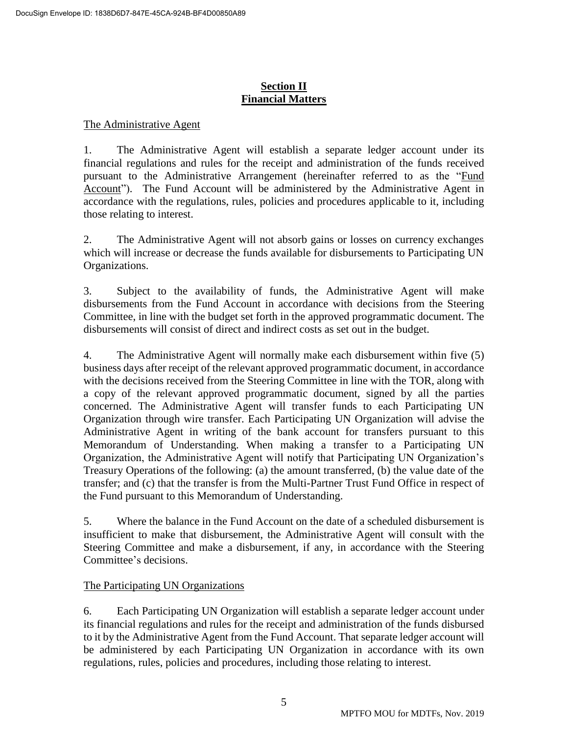# **Section II Financial Matters**

#### The Administrative Agent

1. The Administrative Agent will establish a separate ledger account under its financial regulations and rules for the receipt and administration of the funds received pursuant to the Administrative Arrangement (hereinafter referred to as the "Fund Account"). The Fund Account will be administered by the Administrative Agent in accordance with the regulations, rules, policies and procedures applicable to it, including those relating to interest.

2. The Administrative Agent will not absorb gains or losses on currency exchanges which will increase or decrease the funds available for disbursements to Participating UN Organizations.

3. Subject to the availability of funds, the Administrative Agent will make disbursements from the Fund Account in accordance with decisions from the Steering Committee, in line with the budget set forth in the approved programmatic document. The disbursements will consist of direct and indirect costs as set out in the budget.

4. The Administrative Agent will normally make each disbursement within five (5) business days after receipt of the relevant approved programmatic document, in accordance with the decisions received from the Steering Committee in line with the TOR, along with a copy of the relevant approved programmatic document, signed by all the parties concerned. The Administrative Agent will transfer funds to each Participating UN Organization through wire transfer. Each Participating UN Organization will advise the Administrative Agent in writing of the bank account for transfers pursuant to this Memorandum of Understanding. When making a transfer to a Participating UN Organization, the Administrative Agent will notify that Participating UN Organization's Treasury Operations of the following: (a) the amount transferred, (b) the value date of the transfer; and (c) that the transfer is from the Multi-Partner Trust Fund Office in respect of the Fund pursuant to this Memorandum of Understanding.

5. Where the balance in the Fund Account on the date of a scheduled disbursement is insufficient to make that disbursement, the Administrative Agent will consult with the Steering Committee and make a disbursement, if any, in accordance with the Steering Committee's decisions.

#### The Participating UN Organizations

6. Each Participating UN Organization will establish a separate ledger account under its financial regulations and rules for the receipt and administration of the funds disbursed to it by the Administrative Agent from the Fund Account. That separate ledger account will be administered by each Participating UN Organization in accordance with its own regulations, rules, policies and procedures, including those relating to interest.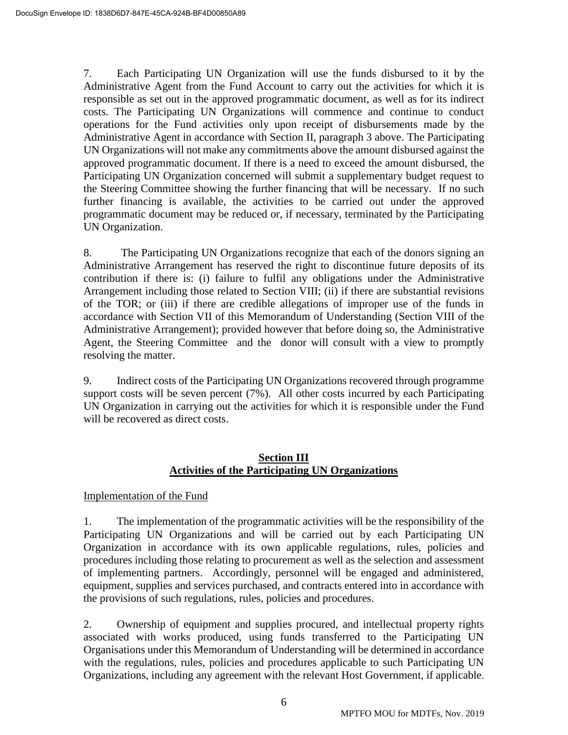7. Each Participating UN Organization will use the funds disbursed to it by the Administrative Agent from the Fund Account to carry out the activities for which it is responsible as set out in the approved programmatic document, as well as for its indirect costs. The Participating UN Organizations will commence and continue to conduct operations for the Fund activities only upon receipt of disbursements made by the Administrative Agent in accordance with Section II, paragraph 3 above. The Participating UN Organizations will not make any commitments above the amount disbursed against the approved programmatic document. If there is a need to exceed the amount disbursed, the Participating UN Organization concerned will submit a supplementary budget request to the Steering Committee showing the further financing that will be necessary. If no such further financing is available, the activities to be carried out under the approved programmatic document may be reduced or, if necessary, terminated by the Participating UN Organization.

8. The Participating UN Organizations recognize that each of the donors signing an Administrative Arrangement has reserved the right to discontinue future deposits of its contribution if there is: (i) failure to fulfil any obligations under the Administrative Arrangement including those related to Section VIII; (ii) if there are substantial revisions of the TOR; or (iii) if there are credible allegations of improper use of the funds in accordance with Section VII of this Memorandum of Understanding (Section VIII of the Administrative Arrangement); provided however that before doing so, the Administrative Agent, the Steering Committee and the donor will consult with a view to promptly resolving the matter.

9. Indirect costs of the Participating UN Organizations recovered through programme support costs will be seven percent (7%). All other costs incurred by each Participating UN Organization in carrying out the activities for which it is responsible under the Fund will be recovered as direct costs.

# **Section III Activities of the Participating UN Organizations**

# Implementation of the Fund

1. The implementation of the programmatic activities will be the responsibility of the Participating UN Organizations and will be carried out by each Participating UN Organization in accordance with its own applicable regulations, rules, policies and procedures including those relating to procurement as well as the selection and assessment of implementing partners. Accordingly, personnel will be engaged and administered, equipment, supplies and services purchased, and contracts entered into in accordance with the provisions of such regulations, rules, policies and procedures.

2. Ownership of equipment and supplies procured, and intellectual property rights associated with works produced, using funds transferred to the Participating UN Organisations under this Memorandum of Understanding will be determined in accordance with the regulations, rules, policies and procedures applicable to such Participating UN Organizations, including any agreement with the relevant Host Government, if applicable.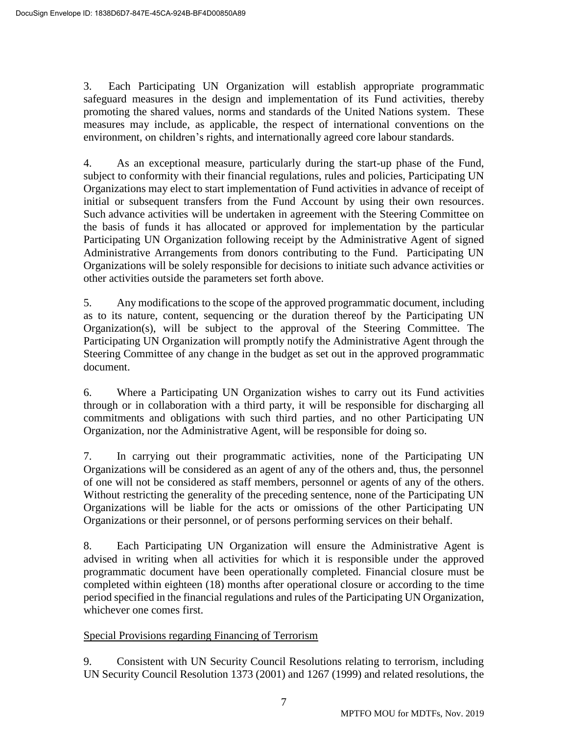3. Each Participating UN Organization will establish appropriate programmatic safeguard measures in the design and implementation of its Fund activities, thereby promoting the shared values, norms and standards of the United Nations system. These measures may include, as applicable, the respect of international conventions on the environment, on children's rights, and internationally agreed core labour standards.

4. As an exceptional measure, particularly during the start-up phase of the Fund, subject to conformity with their financial regulations, rules and policies, Participating UN Organizations may elect to start implementation of Fund activities in advance of receipt of initial or subsequent transfers from the Fund Account by using their own resources. Such advance activities will be undertaken in agreement with the Steering Committee on the basis of funds it has allocated or approved for implementation by the particular Participating UN Organization following receipt by the Administrative Agent of signed Administrative Arrangements from donors contributing to the Fund. Participating UN Organizations will be solely responsible for decisions to initiate such advance activities or other activities outside the parameters set forth above.

5. Any modifications to the scope of the approved programmatic document, including as to its nature, content, sequencing or the duration thereof by the Participating UN Organization(s), will be subject to the approval of the Steering Committee. The Participating UN Organization will promptly notify the Administrative Agent through the Steering Committee of any change in the budget as set out in the approved programmatic document.

6. Where a Participating UN Organization wishes to carry out its Fund activities through or in collaboration with a third party, it will be responsible for discharging all commitments and obligations with such third parties, and no other Participating UN Organization, nor the Administrative Agent, will be responsible for doing so.

7. In carrying out their programmatic activities, none of the Participating UN Organizations will be considered as an agent of any of the others and, thus, the personnel of one will not be considered as staff members, personnel or agents of any of the others. Without restricting the generality of the preceding sentence, none of the Participating UN Organizations will be liable for the acts or omissions of the other Participating UN Organizations or their personnel, or of persons performing services on their behalf.

8. Each Participating UN Organization will ensure the Administrative Agent is advised in writing when all activities for which it is responsible under the approved programmatic document have been operationally completed. Financial closure must be completed within eighteen (18) months after operational closure or according to the time period specified in the financial regulations and rules of the Participating UN Organization, whichever one comes first.

# Special Provisions regarding Financing of Terrorism

9. Consistent with UN Security Council Resolutions relating to terrorism, including UN Security Council Resolution 1373 (2001) and 1267 (1999) and related resolutions, the

7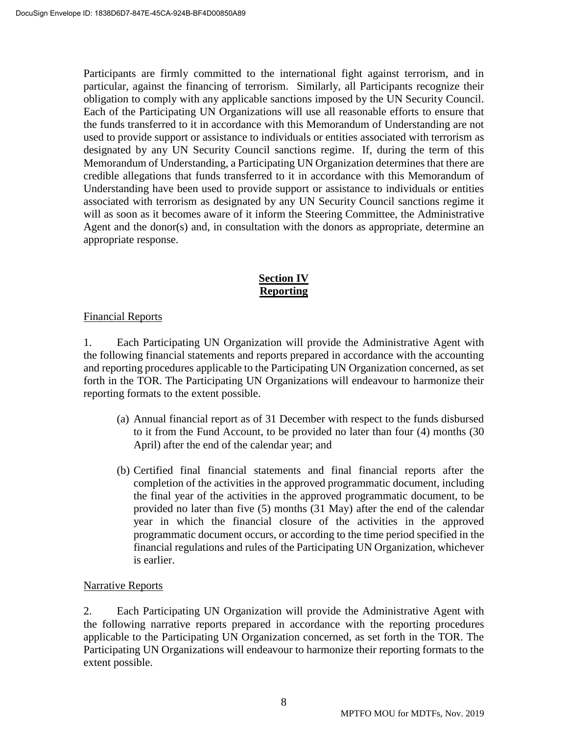Participants are firmly committed to the international fight against terrorism, and in particular, against the financing of terrorism. Similarly, all Participants recognize their obligation to comply with any applicable sanctions imposed by the UN Security Council. Each of the Participating UN Organizations will use all reasonable efforts to ensure that the funds transferred to it in accordance with this Memorandum of Understanding are not used to provide support or assistance to individuals or entities associated with terrorism as designated by any UN Security Council sanctions regime. If, during the term of this Memorandum of Understanding, a Participating UN Organization determines that there are credible allegations that funds transferred to it in accordance with this Memorandum of Understanding have been used to provide support or assistance to individuals or entities associated with terrorism as designated by any UN Security Council sanctions regime it will as soon as it becomes aware of it inform the Steering Committee, the Administrative Agent and the donor(s) and, in consultation with the donors as appropriate, determine an appropriate response.

# **Section IV Reporting**

# Financial Reports

1. Each Participating UN Organization will provide the Administrative Agent with the following financial statements and reports prepared in accordance with the accounting and reporting procedures applicable to the Participating UN Organization concerned, as set forth in the TOR. The Participating UN Organizations will endeavour to harmonize their reporting formats to the extent possible.

- (a) Annual financial report as of 31 December with respect to the funds disbursed to it from the Fund Account, to be provided no later than four (4) months (30 April) after the end of the calendar year; and
- (b) Certified final financial statements and final financial reports after the completion of the activities in the approved programmatic document, including the final year of the activities in the approved programmatic document, to be provided no later than five (5) months (31 May) after the end of the calendar year in which the financial closure of the activities in the approved programmatic document occurs, or according to the time period specified in the financial regulations and rules of the Participating UN Organization, whichever is earlier.

#### **Narrative Reports**

2. Each Participating UN Organization will provide the Administrative Agent with the following narrative reports prepared in accordance with the reporting procedures applicable to the Participating UN Organization concerned, as set forth in the TOR. The Participating UN Organizations will endeavour to harmonize their reporting formats to the extent possible.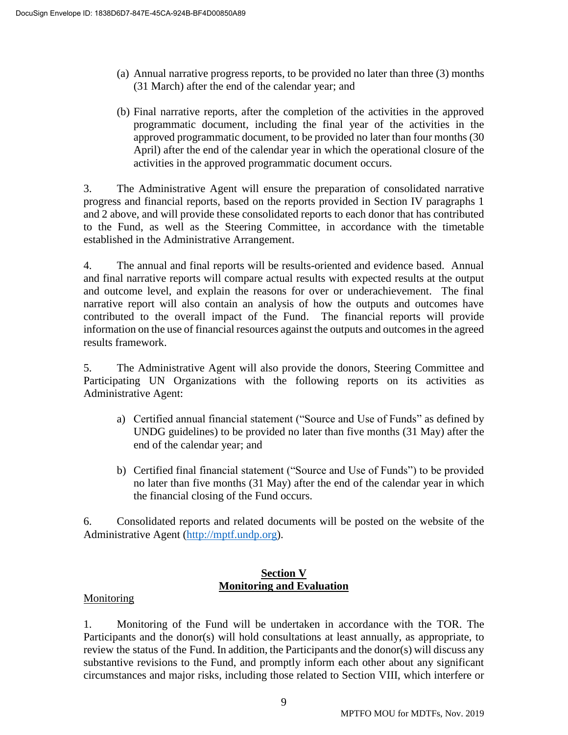- (a) Annual narrative progress reports, to be provided no later than three (3) months (31 March) after the end of the calendar year; and
- (b) Final narrative reports, after the completion of the activities in the approved programmatic document, including the final year of the activities in the approved programmatic document, to be provided no later than four months (30 April) after the end of the calendar year in which the operational closure of the activities in the approved programmatic document occurs.

3. The Administrative Agent will ensure the preparation of consolidated narrative progress and financial reports, based on the reports provided in Section IV paragraphs 1 and 2 above, and will provide these consolidated reports to each donor that has contributed to the Fund, as well as the Steering Committee, in accordance with the timetable established in the Administrative Arrangement.

4. The annual and final reports will be results-oriented and evidence based. Annual and final narrative reports will compare actual results with expected results at the output and outcome level, and explain the reasons for over or underachievement. The final narrative report will also contain an analysis of how the outputs and outcomes have contributed to the overall impact of the Fund. The financial reports will provide information on the use of financial resources against the outputs and outcomes in the agreed results framework.

5. The Administrative Agent will also provide the donors, Steering Committee and Participating UN Organizations with the following reports on its activities as Administrative Agent:

- a) Certified annual financial statement ("Source and Use of Funds" as defined by UNDG guidelines) to be provided no later than five months (31 May) after the end of the calendar year; and
- b) Certified final financial statement ("Source and Use of Funds") to be provided no later than five months (31 May) after the end of the calendar year in which the financial closing of the Fund occurs.

6. Consolidated reports and related documents will be posted on the website of the Administrative Agent [\(http://mptf.undp.org\)](http://mptf.undp.org/).

# **Section V Monitoring and Evaluation**

# Monitoring

1. Monitoring of the Fund will be undertaken in accordance with the TOR. The Participants and the donor(s) will hold consultations at least annually, as appropriate, to review the status of the Fund. In addition, the Participants and the donor(s) will discuss any substantive revisions to the Fund, and promptly inform each other about any significant circumstances and major risks, including those related to Section VIII, which interfere or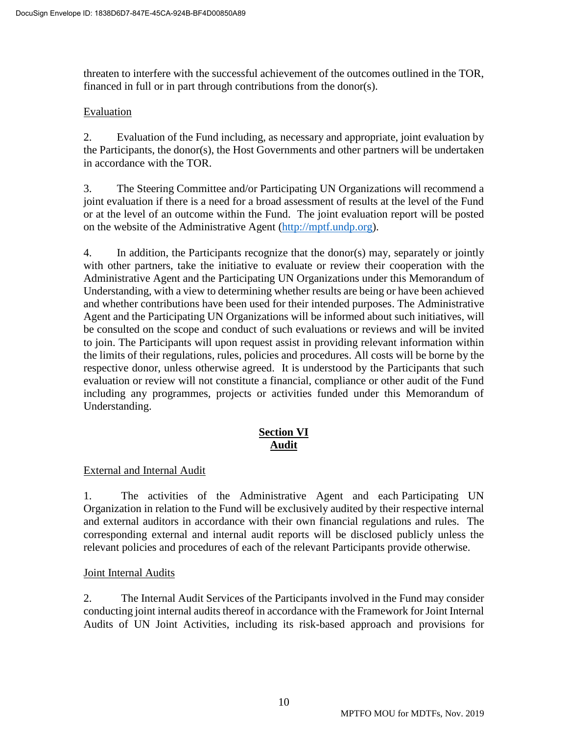threaten to interfere with the successful achievement of the outcomes outlined in the TOR, financed in full or in part through contributions from the donor(s).

#### Evaluation

2. Evaluation of the Fund including, as necessary and appropriate, joint evaluation by the Participants, the donor(s), the Host Governments and other partners will be undertaken in accordance with the TOR.

3. The Steering Committee and/or Participating UN Organizations will recommend a joint evaluation if there is a need for a broad assessment of results at the level of the Fund or at the level of an outcome within the Fund. The joint evaluation report will be posted on the website of the Administrative Agent [\(http://mptf.undp.org\)](http://mptf.undp.org/).

4. In addition, the Participants recognize that the donor(s) may, separately or jointly with other partners, take the initiative to evaluate or review their cooperation with the Administrative Agent and the Participating UN Organizations under this Memorandum of Understanding, with a view to determining whether results are being or have been achieved and whether contributions have been used for their intended purposes. The Administrative Agent and the Participating UN Organizations will be informed about such initiatives, will be consulted on the scope and conduct of such evaluations or reviews and will be invited to join. The Participants will upon request assist in providing relevant information within the limits of their regulations, rules, policies and procedures. All costs will be borne by the respective donor, unless otherwise agreed. It is understood by the Participants that such evaluation or review will not constitute a financial, compliance or other audit of the Fund including any programmes, projects or activities funded under this Memorandum of Understanding.

# **Section VI Audit**

#### External and Internal Audit

1. The activities of the Administrative Agent and each Participating UN Organization in relation to the Fund will be exclusively audited by their respective internal and external auditors in accordance with their own financial regulations and rules. The corresponding external and internal audit reports will be disclosed publicly unless the relevant policies and procedures of each of the relevant Participants provide otherwise.

#### Joint Internal Audits

2. The Internal Audit Services of the Participants involved in the Fund may consider conducting joint internal audits thereof in accordance with the Framework for Joint Internal Audits of UN Joint Activities, including its risk-based approach and provisions for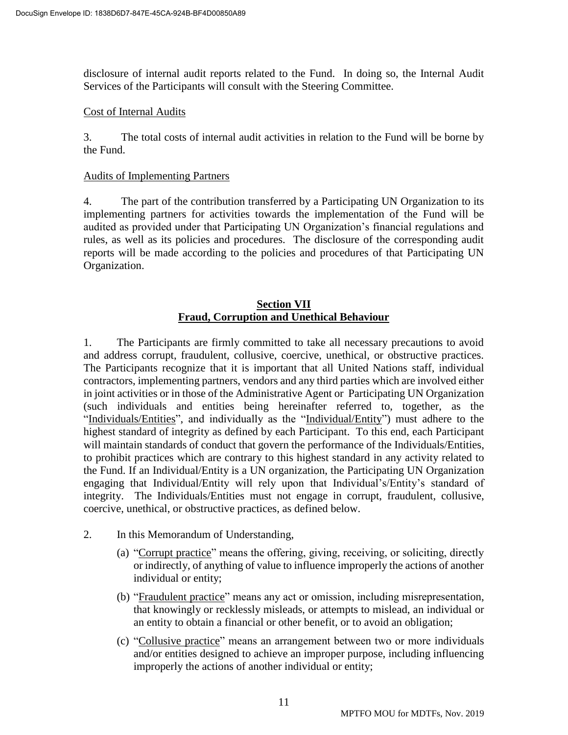disclosure of internal audit reports related to the Fund. In doing so, the Internal Audit Services of the Participants will consult with the Steering Committee.

#### Cost of Internal Audits

3. The total costs of internal audit activities in relation to the Fund will be borne by the Fund.

#### Audits of Implementing Partners

4. The part of the contribution transferred by a Participating UN Organization to its implementing partners for activities towards the implementation of the Fund will be audited as provided under that Participating UN Organization's financial regulations and rules, as well as its policies and procedures. The disclosure of the corresponding audit reports will be made according to the policies and procedures of that Participating UN Organization.

# **Section VII Fraud, Corruption and Unethical Behaviour**

1. The Participants are firmly committed to take all necessary precautions to avoid and address corrupt, fraudulent, collusive, coercive, unethical, or obstructive practices. The Participants recognize that it is important that all United Nations staff, individual contractors, implementing partners, vendors and any third parties which are involved either in joint activities or in those of the Administrative Agent or Participating UN Organization (such individuals and entities being hereinafter referred to, together, as the "Individuals/Entities", and individually as the "Individual/Entity") must adhere to the highest standard of integrity as defined by each Participant. To this end, each Participant will maintain standards of conduct that govern the performance of the Individuals/Entities, to prohibit practices which are contrary to this highest standard in any activity related to the Fund. If an Individual/Entity is a UN organization, the Participating UN Organization engaging that Individual/Entity will rely upon that Individual's/Entity's standard of integrity. The Individuals/Entities must not engage in corrupt, fraudulent, collusive, coercive, unethical, or obstructive practices, as defined below.

- 2. In this Memorandum of Understanding,
	- (a) "Corrupt practice" means the offering, giving, receiving, or soliciting, directly or indirectly, of anything of value to influence improperly the actions of another individual or entity;
	- (b) "Fraudulent practice" means any act or omission, including misrepresentation, that knowingly or recklessly misleads, or attempts to mislead, an individual or an entity to obtain a financial or other benefit, or to avoid an obligation;
	- (c) "Collusive practice" means an arrangement between two or more individuals and/or entities designed to achieve an improper purpose, including influencing improperly the actions of another individual or entity;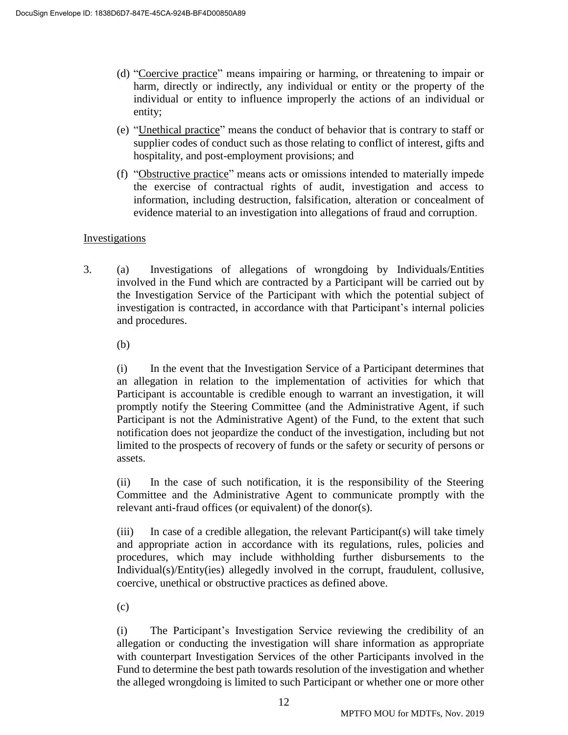- (d) "Coercive practice" means impairing or harming, or threatening to impair or harm, directly or indirectly, any individual or entity or the property of the individual or entity to influence improperly the actions of an individual or entity;
- (e) "Unethical practice" means the conduct of behavior that is contrary to staff or supplier codes of conduct such as those relating to conflict of interest, gifts and hospitality, and post-employment provisions; and
- (f) "Obstructive practice" means acts or omissions intended to materially impede the exercise of contractual rights of audit, investigation and access to information, including destruction, falsification, alteration or concealment of evidence material to an investigation into allegations of fraud and corruption.

#### Investigations

3. (a) Investigations of allegations of wrongdoing by Individuals/Entities involved in the Fund which are contracted by a Participant will be carried out by the Investigation Service of the Participant with which the potential subject of investigation is contracted, in accordance with that Participant's internal policies and procedures.

(b)

(i) In the event that the Investigation Service of a Participant determines that an allegation in relation to the implementation of activities for which that Participant is accountable is credible enough to warrant an investigation, it will promptly notify the Steering Committee (and the Administrative Agent, if such Participant is not the Administrative Agent) of the Fund, to the extent that such notification does not jeopardize the conduct of the investigation, including but not limited to the prospects of recovery of funds or the safety or security of persons or assets.

(ii) In the case of such notification, it is the responsibility of the Steering Committee and the Administrative Agent to communicate promptly with the relevant anti-fraud offices (or equivalent) of the donor(s).

(iii) In case of a credible allegation, the relevant Participant(s) will take timely and appropriate action in accordance with its regulations, rules, policies and procedures, which may include withholding further disbursements to the Individual(s)/Entity(ies) allegedly involved in the corrupt, fraudulent, collusive, coercive, unethical or obstructive practices as defined above.

(c)

(i) The Participant's Investigation Service reviewing the credibility of an allegation or conducting the investigation will share information as appropriate with counterpart Investigation Services of the other Participants involved in the Fund to determine the best path towards resolution of the investigation and whether the alleged wrongdoing is limited to such Participant or whether one or more other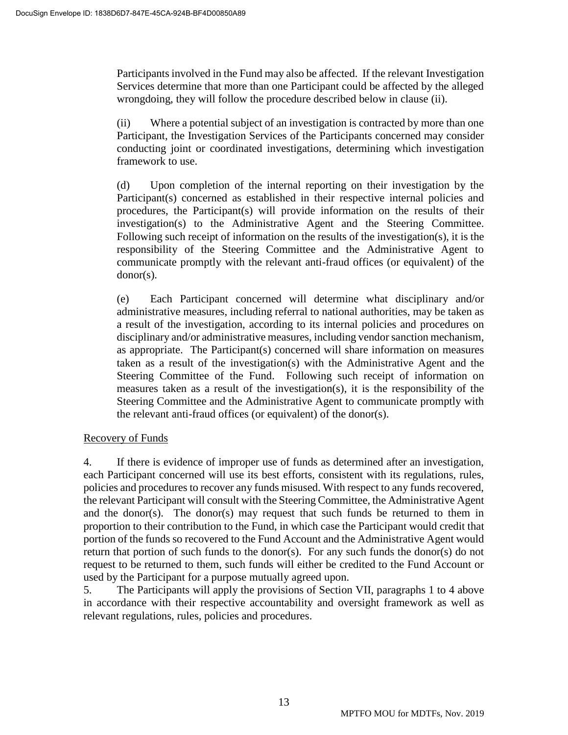Participants involved in the Fund may also be affected. If the relevant Investigation Services determine that more than one Participant could be affected by the alleged wrongdoing, they will follow the procedure described below in clause (ii).

(ii) Where a potential subject of an investigation is contracted by more than one Participant, the Investigation Services of the Participants concerned may consider conducting joint or coordinated investigations, determining which investigation framework to use.

(d) Upon completion of the internal reporting on their investigation by the Participant(s) concerned as established in their respective internal policies and procedures, the Participant(s) will provide information on the results of their investigation(s) to the Administrative Agent and the Steering Committee. Following such receipt of information on the results of the investigation(s), it is the responsibility of the Steering Committee and the Administrative Agent to communicate promptly with the relevant anti-fraud offices (or equivalent) of the donor(s).

(e) Each Participant concerned will determine what disciplinary and/or administrative measures, including referral to national authorities, may be taken as a result of the investigation, according to its internal policies and procedures on disciplinary and/or administrative measures, including vendor sanction mechanism, as appropriate. The Participant(s) concerned will share information on measures taken as a result of the investigation(s) with the Administrative Agent and the Steering Committee of the Fund. Following such receipt of information on measures taken as a result of the investigation(s), it is the responsibility of the Steering Committee and the Administrative Agent to communicate promptly with the relevant anti-fraud offices (or equivalent) of the donor(s).

# Recovery of Funds

4. If there is evidence of improper use of funds as determined after an investigation, each Participant concerned will use its best efforts, consistent with its regulations, rules, policies and procedures to recover any funds misused. With respect to any funds recovered, the relevant Participant will consult with the Steering Committee, the Administrative Agent and the donor(s). The donor(s) may request that such funds be returned to them in proportion to their contribution to the Fund, in which case the Participant would credit that portion of the funds so recovered to the Fund Account and the Administrative Agent would return that portion of such funds to the donor(s). For any such funds the donor(s) do not request to be returned to them, such funds will either be credited to the Fund Account or used by the Participant for a purpose mutually agreed upon.

5. The Participants will apply the provisions of Section VII, paragraphs 1 to 4 above in accordance with their respective accountability and oversight framework as well as relevant regulations, rules, policies and procedures.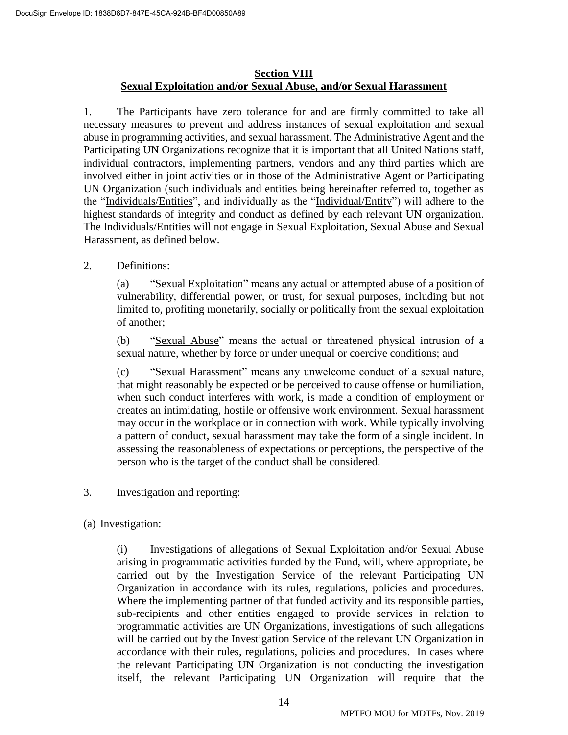### **Section VIII Sexual Exploitation and/or Sexual Abuse, and/or Sexual Harassment**

1. The Participants have zero tolerance for and are firmly committed to take all necessary measures to prevent and address instances of sexual exploitation and sexual abuse in programming activities, and sexual harassment. The Administrative Agent and the Participating UN Organizations recognize that it is important that all United Nations staff, individual contractors, implementing partners, vendors and any third parties which are involved either in joint activities or in those of the Administrative Agent or Participating UN Organization (such individuals and entities being hereinafter referred to, together as the "Individuals/Entities", and individually as the "Individual/Entity") will adhere to the highest standards of integrity and conduct as defined by each relevant UN organization. The Individuals/Entities will not engage in Sexual Exploitation, Sexual Abuse and Sexual Harassment, as defined below.

2. Definitions:

(a) "Sexual Exploitation" means any actual or attempted abuse of a position of vulnerability, differential power, or trust, for sexual purposes, including but not limited to, profiting monetarily, socially or politically from the sexual exploitation of another;

(b) "Sexual Abuse" means the actual or threatened physical intrusion of a sexual nature, whether by force or under unequal or coercive conditions; and

(c) "Sexual Harassment" means any unwelcome conduct of a sexual nature, that might reasonably be expected or be perceived to cause offense or humiliation, when such conduct interferes with work, is made a condition of employment or creates an intimidating, hostile or offensive work environment. Sexual harassment may occur in the workplace or in connection with work. While typically involving a pattern of conduct, sexual harassment may take the form of a single incident. In assessing the reasonableness of expectations or perceptions, the perspective of the person who is the target of the conduct shall be considered.

- 3. Investigation and reporting:
- (a) Investigation:

(i) Investigations of allegations of Sexual Exploitation and/or Sexual Abuse arising in programmatic activities funded by the Fund, will, where appropriate, be carried out by the Investigation Service of the relevant Participating UN Organization in accordance with its rules, regulations, policies and procedures. Where the implementing partner of that funded activity and its responsible parties, sub-recipients and other entities engaged to provide services in relation to programmatic activities are UN Organizations, investigations of such allegations will be carried out by the Investigation Service of the relevant UN Organization in accordance with their rules, regulations, policies and procedures. In cases where the relevant Participating UN Organization is not conducting the investigation itself, the relevant Participating UN Organization will require that the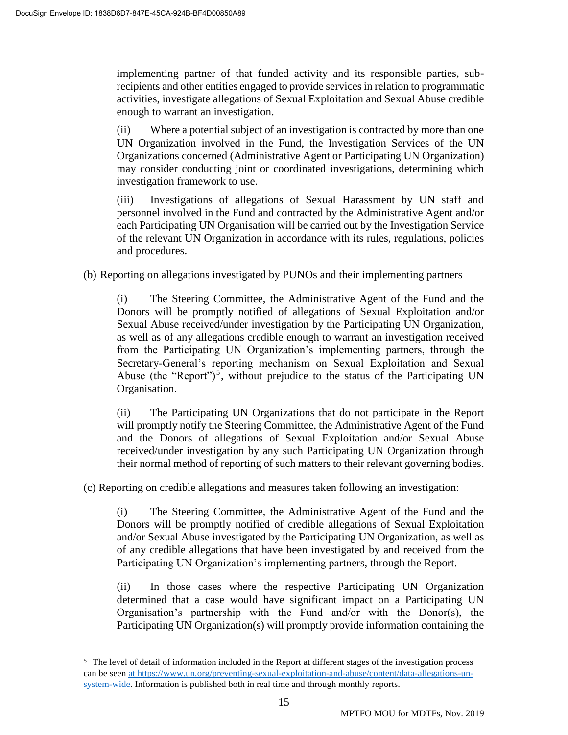implementing partner of that funded activity and its responsible parties, subrecipients and other entities engaged to provide services in relation to programmatic activities, investigate allegations of Sexual Exploitation and Sexual Abuse credible enough to warrant an investigation.

(ii) Where a potential subject of an investigation is contracted by more than one UN Organization involved in the Fund, the Investigation Services of the UN Organizations concerned (Administrative Agent or Participating UN Organization) may consider conducting joint or coordinated investigations, determining which investigation framework to use.

(iii) Investigations of allegations of Sexual Harassment by UN staff and personnel involved in the Fund and contracted by the Administrative Agent and/or each Participating UN Organisation will be carried out by the Investigation Service of the relevant UN Organization in accordance with its rules, regulations, policies and procedures.

(b) Reporting on allegations investigated by PUNOs and their implementing partners

(i) The Steering Committee, the Administrative Agent of the Fund and the Donors will be promptly notified of allegations of Sexual Exploitation and/or Sexual Abuse received/under investigation by the Participating UN Organization, as well as of any allegations credible enough to warrant an investigation received from the Participating UN Organization's implementing partners, through the Secretary-General's reporting mechanism on Sexual Exploitation and Sexual Abuse (the "Report")<sup>5</sup>, without prejudice to the status of the Participating UN Organisation.

(ii) The Participating UN Organizations that do not participate in the Report will promptly notify the Steering Committee, the Administrative Agent of the Fund and the Donors of allegations of Sexual Exploitation and/or Sexual Abuse received/under investigation by any such Participating UN Organization through their normal method of reporting of such matters to their relevant governing bodies.

(c) Reporting on credible allegations and measures taken following an investigation:

(i) The Steering Committee, the Administrative Agent of the Fund and the Donors will be promptly notified of credible allegations of Sexual Exploitation and/or Sexual Abuse investigated by the Participating UN Organization, as well as of any credible allegations that have been investigated by and received from the Participating UN Organization's implementing partners, through the Report.

(ii) In those cases where the respective Participating UN Organization determined that a case would have significant impact on a Participating UN Organisation's partnership with the Fund and/or with the Donor(s), the Participating UN Organization(s) will promptly provide information containing the

<sup>5</sup> The level of detail of information included in the Report at different stages of the investigation process can be see[n at https://www.un.org/preventing-sexual-exploitation-and-abuse/content/data-allegations-un](https://www.un.org/preventing-sexual-exploitation-and-abuse/content/data-allegations-un-system-wide)[system-wide.](https://www.un.org/preventing-sexual-exploitation-and-abuse/content/data-allegations-un-system-wide) Information is published both in real time and through monthly reports.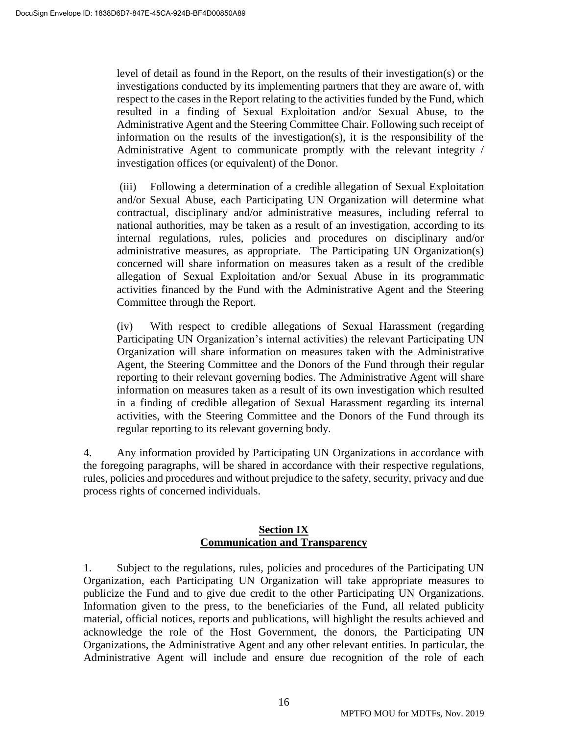level of detail as found in the Report, on the results of their investigation(s) or the investigations conducted by its implementing partners that they are aware of, with respect to the cases in the Report relating to the activities funded by the Fund, which resulted in a finding of Sexual Exploitation and/or Sexual Abuse, to the Administrative Agent and the Steering Committee Chair. Following such receipt of information on the results of the investigation(s), it is the responsibility of the Administrative Agent to communicate promptly with the relevant integrity / investigation offices (or equivalent) of the Donor.

(iii) Following a determination of a credible allegation of Sexual Exploitation and/or Sexual Abuse, each Participating UN Organization will determine what contractual, disciplinary and/or administrative measures, including referral to national authorities, may be taken as a result of an investigation, according to its internal regulations, rules, policies and procedures on disciplinary and/or administrative measures, as appropriate. The Participating UN Organization(s) concerned will share information on measures taken as a result of the credible allegation of Sexual Exploitation and/or Sexual Abuse in its programmatic activities financed by the Fund with the Administrative Agent and the Steering Committee through the Report.

(iv) With respect to credible allegations of Sexual Harassment (regarding Participating UN Organization's internal activities) the relevant Participating UN Organization will share information on measures taken with the Administrative Agent, the Steering Committee and the Donors of the Fund through their regular reporting to their relevant governing bodies. The Administrative Agent will share information on measures taken as a result of its own investigation which resulted in a finding of credible allegation of Sexual Harassment regarding its internal activities, with the Steering Committee and the Donors of the Fund through its regular reporting to its relevant governing body.

4. Any information provided by Participating UN Organizations in accordance with the foregoing paragraphs, will be shared in accordance with their respective regulations, rules, policies and procedures and without prejudice to the safety, security, privacy and due process rights of concerned individuals.

# **Section IX Communication and Transparency**

1. Subject to the regulations, rules, policies and procedures of the Participating UN Organization, each Participating UN Organization will take appropriate measures to publicize the Fund and to give due credit to the other Participating UN Organizations. Information given to the press, to the beneficiaries of the Fund, all related publicity material, official notices, reports and publications, will highlight the results achieved and acknowledge the role of the Host Government, the donors, the Participating UN Organizations, the Administrative Agent and any other relevant entities. In particular, the Administrative Agent will include and ensure due recognition of the role of each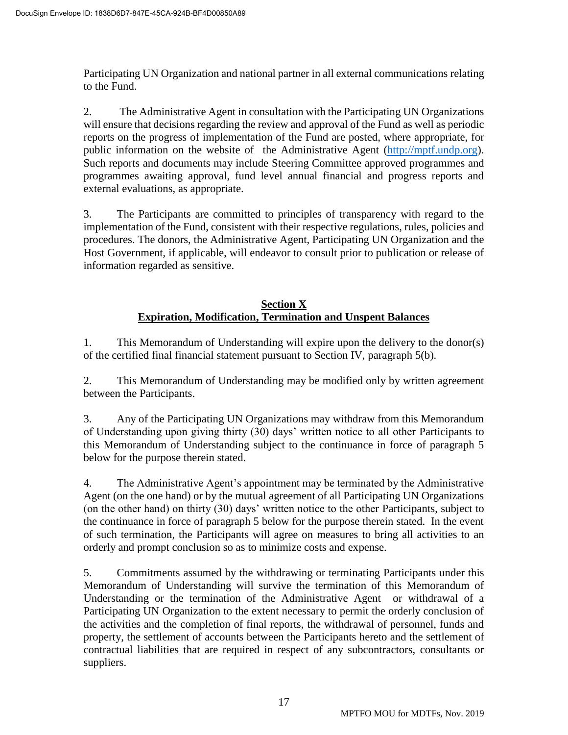Participating UN Organization and national partner in all external communications relating to the Fund.

2. The Administrative Agent in consultation with the Participating UN Organizations will ensure that decisions regarding the review and approval of the Fund as well as periodic reports on the progress of implementation of the Fund are posted, where appropriate, for public information on the website of the Administrative Agent [\(http://mptf.undp.org\)](http://mptf.undp.org/). Such reports and documents may include Steering Committee approved programmes and programmes awaiting approval, fund level annual financial and progress reports and external evaluations, as appropriate.

3. The Participants are committed to principles of transparency with regard to the implementation of the Fund, consistent with their respective regulations, rules, policies and procedures. The donors, the Administrative Agent, Participating UN Organization and the Host Government, if applicable, will endeavor to consult prior to publication or release of information regarded as sensitive.

# **Section X Expiration, Modification, Termination and Unspent Balances**

1. This Memorandum of Understanding will expire upon the delivery to the donor(s) of the certified final financial statement pursuant to Section IV, paragraph 5(b).

2. This Memorandum of Understanding may be modified only by written agreement between the Participants.

3. Any of the Participating UN Organizations may withdraw from this Memorandum of Understanding upon giving thirty (30) days' written notice to all other Participants to this Memorandum of Understanding subject to the continuance in force of paragraph 5 below for the purpose therein stated.

4. The Administrative Agent's appointment may be terminated by the Administrative Agent (on the one hand) or by the mutual agreement of all Participating UN Organizations (on the other hand) on thirty (30) days' written notice to the other Participants, subject to the continuance in force of paragraph 5 below for the purpose therein stated. In the event of such termination, the Participants will agree on measures to bring all activities to an orderly and prompt conclusion so as to minimize costs and expense.

5. Commitments assumed by the withdrawing or terminating Participants under this Memorandum of Understanding will survive the termination of this Memorandum of Understanding or the termination of the Administrative Agent or withdrawal of a Participating UN Organization to the extent necessary to permit the orderly conclusion of the activities and the completion of final reports, the withdrawal of personnel, funds and property, the settlement of accounts between the Participants hereto and the settlement of contractual liabilities that are required in respect of any subcontractors, consultants or suppliers.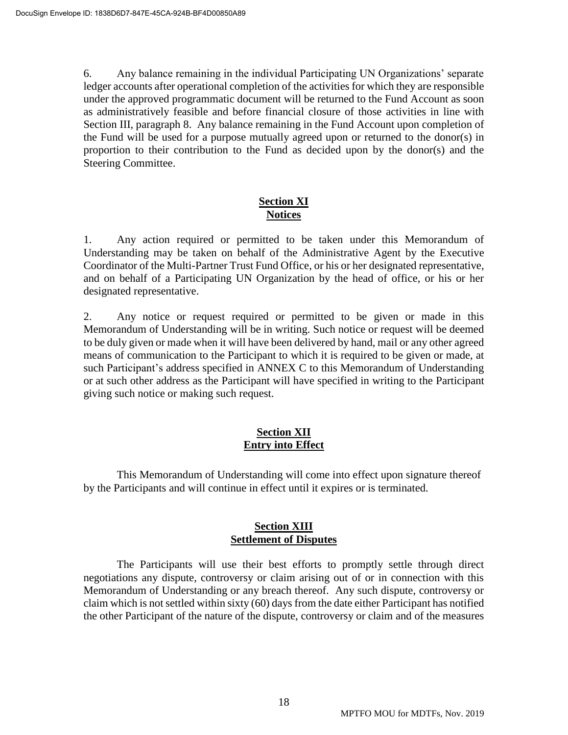6. Any balance remaining in the individual Participating UN Organizations' separate ledger accounts after operational completion of the activities for which they are responsible under the approved programmatic document will be returned to the Fund Account as soon as administratively feasible and before financial closure of those activities in line with Section III, paragraph 8. Any balance remaining in the Fund Account upon completion of the Fund will be used for a purpose mutually agreed upon or returned to the donor(s) in proportion to their contribution to the Fund as decided upon by the donor(s) and the Steering Committee.

# **Section XI Notices**

1. Any action required or permitted to be taken under this Memorandum of Understanding may be taken on behalf of the Administrative Agent by the Executive Coordinator of the Multi-Partner Trust Fund Office, or his or her designated representative, and on behalf of a Participating UN Organization by the head of office, or his or her designated representative.

2. Any notice or request required or permitted to be given or made in this Memorandum of Understanding will be in writing. Such notice or request will be deemed to be duly given or made when it will have been delivered by hand, mail or any other agreed means of communication to the Participant to which it is required to be given or made, at such Participant's address specified in ANNEX C to this Memorandum of Understanding or at such other address as the Participant will have specified in writing to the Participant giving such notice or making such request.

# **Section XII Entry into Effect**

This Memorandum of Understanding will come into effect upon signature thereof by the Participants and will continue in effect until it expires or is terminated.

#### **Section XIII Settlement of Disputes**

The Participants will use their best efforts to promptly settle through direct negotiations any dispute, controversy or claim arising out of or in connection with this Memorandum of Understanding or any breach thereof. Any such dispute, controversy or claim which is not settled within sixty (60) days from the date either Participant has notified the other Participant of the nature of the dispute, controversy or claim and of the measures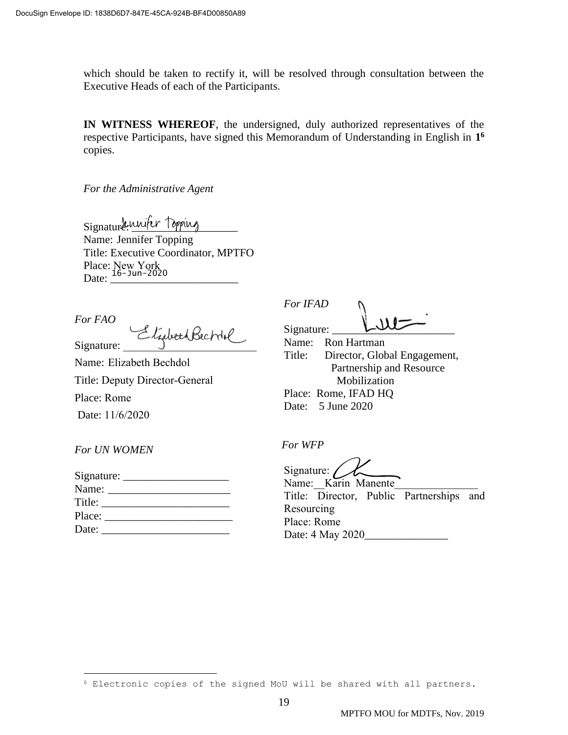which should be taken to rectify it, will be resolved through consultation between the Executive Heads of each of the Participants.

**IN WITNESS WHEREOF**, the undersigned, duly authorized representatives of the respective Participants, have signed this Memorandum of Understanding in English in **1 6** copies.

*For the Administrative Agent* 

Signature. Linifer Topping Name: Jennifer Topping Title: Executive Coordinator, MPTFO Place: New York Date:  $\frac{16-3u-2020}{u}$ 

*For FAO* Signature: Eliabeth Bechil

Name: Elizabeth Bechdol Title: Deputy Director-General Place: Rome Date: 11/6/2020

*For IFAD* Signature:

Name: Ron Hartman Title: Director, Global Engagement, Partnership and Resource Mobilization Place: Rome, IFAD HQ Date: 5 June 2020

*For UN WOMEN*

| Name:  |  |  |
|--------|--|--|
| Title: |  |  |
| Place: |  |  |
| Date:  |  |  |

*For WFP*

Signature:

Name: Karin Manente Title: Director, Public Partnerships and Resourcing Place: Rome Date: 4 May 2020\_\_\_\_\_\_\_\_\_\_\_\_\_\_\_

<sup>6</sup> Electronic copies of the signed MoU will be shared with all partners.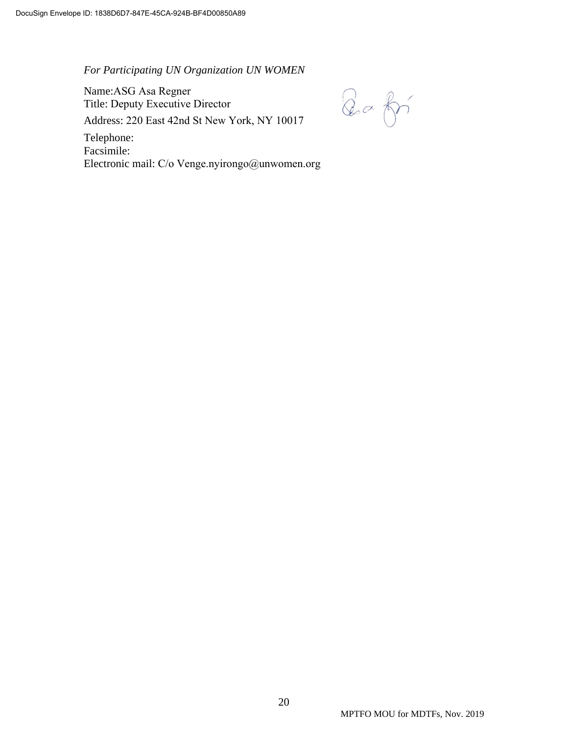*For Participating UN Organization UN WOMEN* 

Name:ASG Asa Regner Title: Deputy Executive Director Address: 220 East 42nd St New York, NY 10017 Telephone: Facsimile:

Electronic mail: C/o Venge.nyirongo@unwomen.org

Bafrí